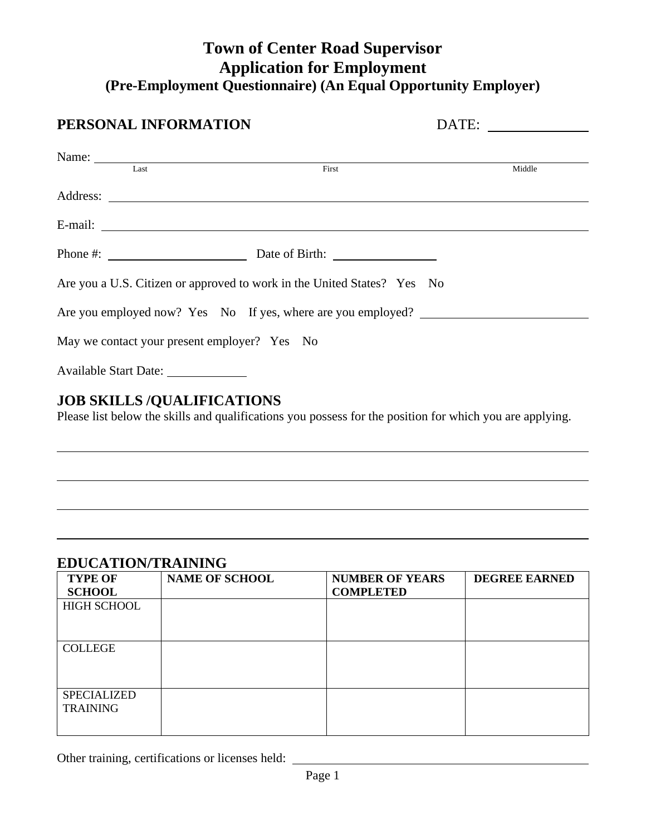# **Town of Center Road Supervisor Application for Employment (Pre-Employment Questionnaire) (An Equal Opportunity Employer)**

## **PERSONAL INFORMATION** DATE:

|                       | Name:                                                                   |        |
|-----------------------|-------------------------------------------------------------------------|--------|
| Last                  | First                                                                   | Middle |
|                       |                                                                         |        |
|                       |                                                                         |        |
|                       |                                                                         |        |
|                       | Are you a U.S. Citizen or approved to work in the United States? Yes No |        |
|                       | Are you employed now? Yes No If yes, where are you employed?            |        |
|                       | May we contact your present employer? Yes No                            |        |
| Available Start Date: |                                                                         |        |

### **JOB SKILLS /QUALIFICATIONS**

Please list below the skills and qualifications you possess for the position for which you are applying.

#### **EDUCATION/TRAINING**

| <b>TYPE OF</b>     | <b>NAME OF SCHOOL</b> | <b>NUMBER OF YEARS</b> | <b>DEGREE EARNED</b> |
|--------------------|-----------------------|------------------------|----------------------|
| <b>SCHOOL</b>      |                       | <b>COMPLETED</b>       |                      |
| <b>HIGH SCHOOL</b> |                       |                        |                      |
|                    |                       |                        |                      |
|                    |                       |                        |                      |
| <b>COLLEGE</b>     |                       |                        |                      |
|                    |                       |                        |                      |
|                    |                       |                        |                      |
| <b>SPECIALIZED</b> |                       |                        |                      |
| <b>TRAINING</b>    |                       |                        |                      |
|                    |                       |                        |                      |
|                    |                       |                        |                      |

Other training, certifications or licenses held: